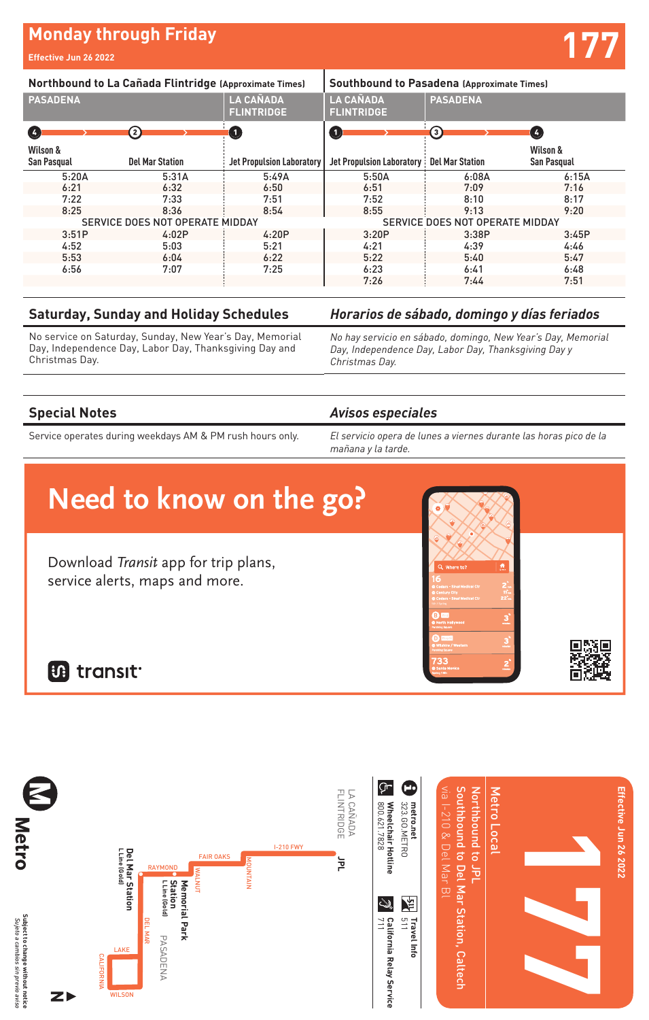# **Monday through Friday and Security Conduct of Table 19.1 (177)**<br>Effective Jun 26 2022

| Northbound to La Cañada Flintridge (Approximate Times) |                        |                                       | Southbound to Pasadena (Approximate Times) |                        |                                |
|--------------------------------------------------------|------------------------|---------------------------------------|--------------------------------------------|------------------------|--------------------------------|
| <b>PASADENA</b>                                        |                        | <b>LA CAÑADA</b><br><b>FLINTRIDGE</b> | <b>LA CAÑADA</b><br><b>FLINTRIDGE</b>      | <b>PASADENA</b>        |                                |
| $\left( 4\right)$                                      | 〔2〕                    | O                                     | $\left( 1 \right)$                         | 3)                     | Ø                              |
| Wilson &<br>San Pasqual                                | <b>Del Mar Station</b> | <b>Jet Propulsion Laboratory</b>      | <b>Jet Propulsion Laboratory:</b>          | <b>Del Mar Station</b> | Wilson &<br><b>San Pasqual</b> |
| 5:20A                                                  | 5:31A                  | 5:49A                                 | 5:50A                                      | 6:08A                  | 6:15A                          |
| 6:21                                                   | 6:32                   | 6:50                                  | 6:51                                       | 7:09                   | 7:16                           |
| 7:22                                                   | 7:33                   | 7:51                                  | 7:52                                       | 8:10                   | 8:17                           |
| 8:25                                                   | 8:36                   | 8:54                                  | 8:55                                       | 9:13                   | 9:20                           |
| SERVICE DOES NOT OPERATE MIDDAY                        |                        |                                       | SERVICE DOES NOT OPERATE MIDDAY            |                        |                                |
| 3:51P                                                  | 4:02P                  | 4:20P                                 | 3:20P                                      | 3:38P                  | 3:45P                          |
| 4:52                                                   | 5:03                   | 5:21                                  | 4:21                                       | 4:39                   | 4:46                           |
| 5:53                                                   | 6:04                   | 6:22                                  | 5:22                                       | 5:40                   | 5:47                           |
| 6:56                                                   | 7:07                   | 7:25                                  | 6:23                                       | 6:41                   | 6:48                           |
|                                                        |                        |                                       | 7:26                                       | 7:44                   | 7:51                           |

#### **Saturday, Sunday and Holiday Schedules**

No service on Saturday, Sunday, New Year's Day, Memorial Day, Independence Day, Labor Day, Thanksgiving Day and Christmas Day.

### *Horarios de sábado, domingo y días feriados*

*No hay servicio en sábado, domingo, New Year's Day, Memorial Day, Independence Day, Labor Day, Thanksgiving Day y Christmas Day.*

#### **Special Notes**

Service operates during weekdays AM & PM rush hours only.

#### *Avisos especiales*

*El servicio opera de lunes a viernes durante las horas pico de la mañana y la tarde.*

**3**

ŞΟ

**3**

**2**min

Wilshire / Western Station

Cedars - Sinai Medical Cedars - Sinai Medical Where to

**733 <sup>2</sup>**

North Hollywood

## **Need to know on the go?**

Download Transit app for trip plans, service alerts, maps and more.

**B** transit